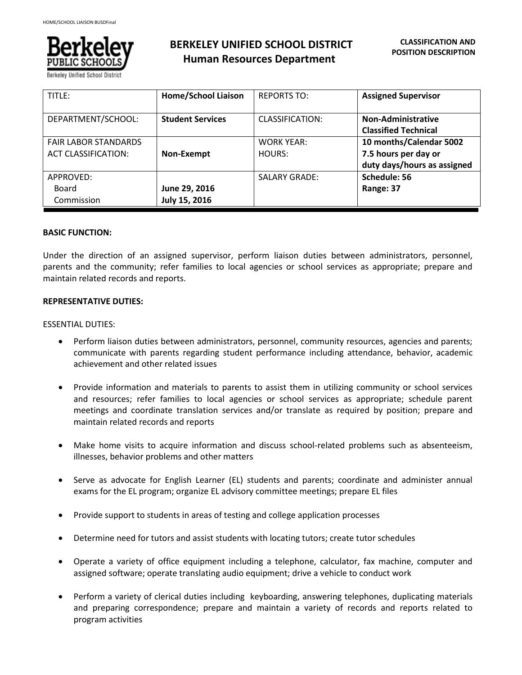

Berkelev Unified School Distri

# **BERKELEY UNIFIED SCHOOL DISTRICT Human Resources Department**

| TITLE:                                                    | <b>Home/School Liaison</b>     | <b>REPORTS TO:</b>          | <b>Assigned Supervisor</b>                                                     |
|-----------------------------------------------------------|--------------------------------|-----------------------------|--------------------------------------------------------------------------------|
| DEPARTMENT/SCHOOL:                                        | <b>Student Services</b>        | <b>CLASSIFICATION:</b>      | <b>Non-Administrative</b><br><b>Classified Technical</b>                       |
| <b>FAIR LABOR STANDARDS</b><br><b>ACT CLASSIFICATION:</b> | Non-Exempt                     | <b>WORK YEAR:</b><br>HOURS: | 10 months/Calendar 5002<br>7.5 hours per day or<br>duty days/hours as assigned |
| APPROVED:<br>Board<br>Commission                          | June 29, 2016<br>July 15, 2016 | <b>SALARY GRADE:</b>        | Schedule: 56<br>Range: 37                                                      |

### **BASIC FUNCTION:**

Under the direction of an assigned supervisor, perform liaison duties between administrators, personnel, parents and the community; refer families to local agencies or school services as appropriate; prepare and maintain related records and reports.

### **REPRESENTATIVE DUTIES:**

### ESSENTIAL DUTIES:

- Perform liaison duties between administrators, personnel, community resources, agencies and parents; communicate with parents regarding student performance including attendance, behavior, academic achievement and other related issues
- Provide information and materials to parents to assist them in utilizing community or school services and resources; refer families to local agencies or school services as appropriate; schedule parent meetings and coordinate translation services and/or translate as required by position; prepare and maintain related records and reports
- Make home visits to acquire information and discuss school-related problems such as absenteeism, illnesses, behavior problems and other matters
- Serve as advocate for English Learner (EL) students and parents; coordinate and administer annual exams for the EL program; organize EL advisory committee meetings; prepare EL files
- Provide support to students in areas of testing and college application processes
- Determine need for tutors and assist students with locating tutors; create tutor schedules
- Operate a variety of office equipment including a telephone, calculator, fax machine, computer and assigned software; operate translating audio equipment; drive a vehicle to conduct work
- Perform a variety of clerical duties including keyboarding, answering telephones, duplicating materials and preparing correspondence; prepare and maintain a variety of records and reports related to program activities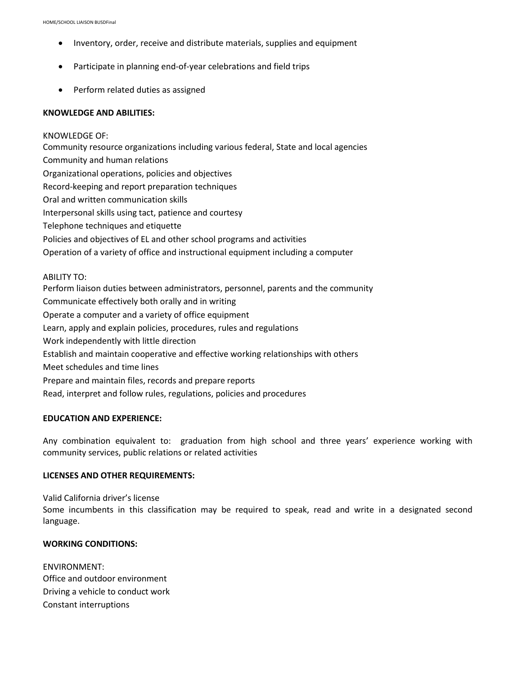- Inventory, order, receive and distribute materials, supplies and equipment
- Participate in planning end-of-year celebrations and field trips
- Perform related duties as assigned

### **KNOWLEDGE AND ABILITIES:**

## KNOWLEDGE OF:

Community resource organizations including various federal, State and local agencies Community and human relations Organizational operations, policies and objectives Record-keeping and report preparation techniques Oral and written communication skills Interpersonal skills using tact, patience and courtesy Telephone techniques and etiquette Policies and objectives of EL and other school programs and activities Operation of a variety of office and instructional equipment including a computer ABILITY TO: Perform liaison duties between administrators, personnel, parents and the community Communicate effectively both orally and in writing Operate a computer and a variety of office equipment Learn, apply and explain policies, procedures, rules and regulations Work independently with little direction

Establish and maintain cooperative and effective working relationships with others

Meet schedules and time lines

Prepare and maintain files, records and prepare reports

Read, interpret and follow rules, regulations, policies and procedures

### **EDUCATION AND EXPERIENCE:**

Any combination equivalent to: graduation from high school and three years' experience working with community services, public relations or related activities

### **LICENSES AND OTHER REQUIREMENTS:**

Valid California driver's license

Some incumbents in this classification may be required to speak, read and write in a designated second language.

## **WORKING CONDITIONS:**

ENVIRONMENT: Office and outdoor environment Driving a vehicle to conduct work Constant interruptions